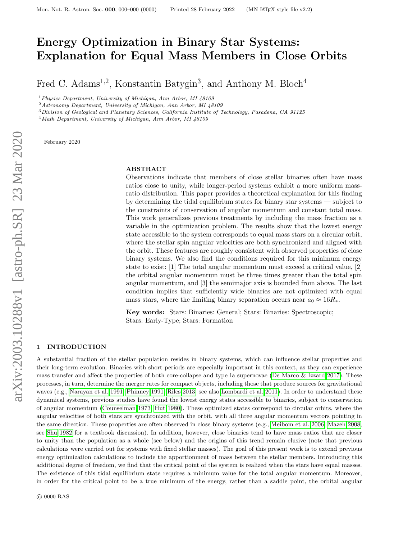# Energy Optimization in Binary Star Systems: Explanation for Equal Mass Members in Close Orbits

Fred C. Adams<sup>1,2</sup>, Konstantin Batygin<sup>3</sup>, and Anthony M. Bloch<sup>4</sup>

<sup>1</sup>Physics Department, University of Michigan, Ann Arbor, MI 48109

<sup>2</sup>Astronomy Department, University of Michigan, Ann Arbor, MI 48109

 $3$ Division of Geological and Planetary Sciences, California Institute of Technology, Pasadena, CA 91125

<sup>4</sup>Math Department, University of Michigan, Ann Arbor, MI 48109

February 2020

# ABSTRACT

Observations indicate that members of close stellar binaries often have mass ratios close to unity, while longer-period systems exhibit a more uniform massratio distribution. This paper provides a theoretical explanation for this finding by determining the tidal equilibrium states for binary star systems — subject to the constraints of conservation of angular momentum and constant total mass. This work generalizes previous treatments by including the mass fraction as a variable in the optimization problem. The results show that the lowest energy state accessible to the system corresponds to equal mass stars on a circular orbit, where the stellar spin angular velocities are both synchronized and aligned with the orbit. These features are roughly consistent with observed properties of close binary systems. We also find the conditions required for this minimum energy state to exist: [1] The total angular momentum must exceed a critical value, [2] the orbital angular momentum must be three times greater than the total spin angular momentum, and [3] the semimajor axis is bounded from above. The last condition implies that sufficiently wide binaries are not optimized with equal mass stars, where the limiting binary separation occurs near  $a_0 \approx 16R_*$ .

Key words: Stars: Binaries: General; Stars: Binaries: Spectroscopic; Stars: Early-Type; Stars: Formation

## <span id="page-0-0"></span>1 INTRODUCTION

A substantial fraction of the stellar population resides in binary systems, which can influence stellar properties and their long-term evolution. Binaries with short periods are especially important in this context, as they can experience mass transfer and affect the properties of both core-collapse and type Ia supernovae [\(De Marco & Izzard 2017\)](#page-11-0). These processes, in turn, determine the merger rates for compact objects, including those that produce sources for gravitational waves (e.g., [Narayan et al. 1991;](#page-12-0) [Phinney 1991;](#page-12-1) [Riles 2013;](#page-12-2) see also [Lombardi et al. 2011\)](#page-12-3). In order to understand these dynamical systems, previous studies have found the lowest energy states accessible to binaries, subject to conservation of angular momentum [\(Counselman 1973;](#page-11-1) [Hut 1980\)](#page-12-4). These optimized states correspond to circular orbits, where the angular velocities of both stars are synchronized with the orbit, with all three angular momentum vectors pointing in the same direction. These properties are often observed in close binary systems (e.g., [Meibom et al. 2006;](#page-12-5) [Mazeh 2008;](#page-12-6) see [Shu 1982](#page-12-7) for a textbook discussion). In addition, however, close binaries tend to have mass ratios that are closer to unity than the population as a whole (see below) and the origins of this trend remain elusive (note that previous calculations were carried out for systems with fixed stellar masses). The goal of this present work is to extend previous energy optimization calculations to include the apportionment of mass between the stellar members. Introducing this additional degree of freedom, we find that the critical point of the system is realized when the stars have equal masses. The existence of this tidal equilibrium state requires a minimum value for the total angular momentum. Moreover, in order for the critical point to be a true minimum of the energy, rather than a saddle point, the orbital angular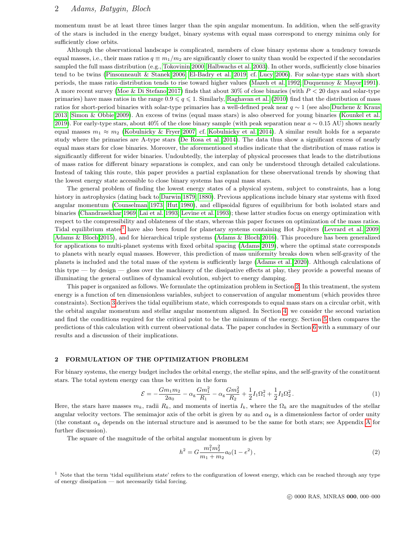momentum must be at least three times larger than the spin angular momentum. In addition, when the self-gravity of the stars is included in the energy budget, binary systems with equal mass correspond to energy minima only for sufficiently close orbits.

Although the observational landscape is complicated, members of close binary systems show a tendency towards equal masses, i.e., their mass ratios  $q \equiv m_1/m_2$  are significantly closer to unity than would be expected if the secondaries sampled the full mass distribution (e.g., [Tokovinin 2000;](#page-12-8) [Halbwachs et al. 2003\)](#page-12-9). In other words, sufficiently close binaries tend to be twins [\(Pinsonneault & Stanek 2006;](#page-12-10) [El-Badry et al. 2019;](#page-12-11) cf. [Lucy 2006\)](#page-12-12). For solar-type stars with short periods, the mass ratio distribution tends to rise toward higher values [\(Mazeh et al. 1992;](#page-12-13) [Duquennoy & Mayor 1991\)](#page-12-14). A more recent survey [\(Moe & Di Stefano 2017\)](#page-12-15) finds that about 30% of close binaries (with  $P < 20$  days and solar-type primaries) have mass ratios in the range  $0.9 \leq q \leq 1$ . Similarly, [Raghavan et al. \(2010\)](#page-12-16) find that the distribution of mass ratios for short-period binaries with solar-type primaries has a well-defined peak near q ∼ 1 (see also [Duchene & Kraus](#page-11-2) [2013;](#page-11-2) [Simon & Obbie 2009\)](#page-12-17). An excess of twins (equal mass stars) is also observed for young binaries [\(Kounkel et al.](#page-12-18) [2019\)](#page-12-18). For early-type stars, about 40% of the close binary sample (with peak separation near  $a \sim 0.15 \text{ AU}$ ) shows nearly equal masses  $m_1 \approx m_2$  [\(Kobulnicky & Fryer 2007;](#page-12-19) cf. [Kobulnicky et al. 2014\)](#page-12-20). A similar result holds for a separate study where the primaries are A-type stars [\(De Rosa et al. 2014\)](#page-11-3). The data thus show a significant excess of nearly equal mass stars for close binaries. Moreover, the aforementioned studies indicate that the distribution of mass ratios is significantly different for wider binaries. Undoubtedly, the interplay of physical processes that leads to the distributions of mass ratios for different binary separations is complex, and can only be understood through detailed calculations. Instead of taking this route, this paper provides a partial explanation for these observational trends by showing that the lowest energy state accessible to close binary systems has equal mass stars.

The general problem of finding the lowest energy states of a physical system, subject to constraints, has a long history in astrophysics (dating back to [Darwin 1879,](#page-11-4) [1880\)](#page-11-5). Previous applications include binary star systems with fixed angular momentum [\(Counselman 1973;](#page-11-1) [Hut 1980\)](#page-12-4), and ellipsoidal figures of equilibrium for both isolated stars and binaries [\(Chandrasekhar 1969;](#page-11-6) [Lai et al. 1993;](#page-12-21) [Levine et al. 1993\)](#page-12-22); these latter studies focus on energy optimization with respect to the compressibility and oblateness of the stars, whereas this paper focuses on optimization of the mass ratios. Tidal equilibrium states<sup>[1](#page-1-0)</sup> have also been found for planetary systems containing Hot Jupiters [\(Levrard et al. 2009;](#page-12-23) [Adams & Bloch 2015\)](#page-11-7), and for hierarchical triple systems [\(Adams & Bloch 2016\)](#page-11-8). This procedure has been generalized for applications to multi-planet systems with fixed orbital spacing [\(Adams 2019\)](#page-11-9), where the optimal state corresponds to planets with nearly equal masses. However, this prediction of mass uniformity breaks down when self-gravity of the planets is included and the total mass of the system is sufficiently large [\(Adams et al. 2020\)](#page-11-10). Although calculations of this type — by design — gloss over the machinery of the dissipative effects at play, they provide a powerful means of illuminating the general outlines of dynamical evolution, subject to energy damping.

This paper is organized as follows. We formulate the optimization problem in Section [2.](#page-1-1) In this treatment, the system energy is a function of ten dimensionless variables, subject to conservation of angular momentum (which provides three constraints). Section [3](#page-2-0) derives the tidal equilibrium state, which corresponds to equal mass stars on a circular orbit, with the orbital angular momentum and stellar angular momentum aligned. In Section [4,](#page-4-0) we consider the second variation and find the conditions required for the critical point to be the minimum of the energy. Section [5](#page-7-0) then compares the predictions of this calculation with current observational data. The paper concludes in Section [6](#page-9-0) with a summary of our results and a discussion of their implications.

## <span id="page-1-1"></span>2 FORMULATION OF THE OPTIMIZATION PROBLEM

For binary systems, the energy budget includes the orbital energy, the stellar spins, and the self-gravity of the constituent stars. The total system energy can thus be written in the form

$$
\mathcal{E} = -\frac{Gm_1m_2}{2a_0} - \alpha_g \frac{Gm_1^2}{R_1} - \alpha_g \frac{Gm_2^2}{R_2} + \frac{1}{2}I_1\Omega_1^2 + \frac{1}{2}I_2\Omega_2^2.
$$
 (1)

Here, the stars have masses  $m_k$ , radii  $R_k$ , and moments of inertia  $I_k$ , where the  $\Omega_k$  are the magnitudes of the stellar angular velocity vectors. The semimajor axis of the orbit is given by  $a_0$  and  $\alpha_g$  is a dimensionless factor of order unity (the constant  $\alpha_{g}$  depends on the internal structure and is assumed to be the same for both stars; see [A](#page-10-0)ppendix A for further discussion).

The square of the magnitude of the orbital angular momentum is given by

$$
h^2 = G \frac{m_1^2 m_2^2}{m_1 + m_2} a_0 (1 - e^2),
$$
\n(2)

<span id="page-1-0"></span> $<sup>1</sup>$  Note that the term 'tidal equilibrium state' refers to the configuration of lowest energy, which can be reached through any type</sup> of energy dissipation — not necessarily tidal forcing.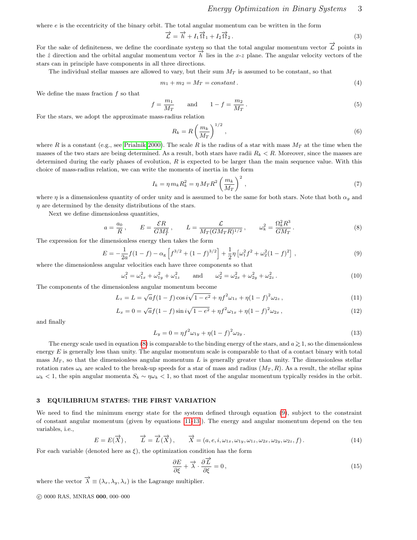where  $e$  is the eccentricity of the binary orbit. The total angular momentum can be written in the form

$$
\vec{\mathcal{L}} = \vec{h} + I_1 \vec{\Omega}_1 + I_2 \vec{\Omega}_2. \tag{3}
$$

For the sake of definiteness, we define the coordinate system so that the total angular momentum vector  $\vec{\mathcal{L}}$  points in the  $\hat{z}$  direction and the orbital angular momentum vector  $\overrightarrow{h}$  lies in the x-z plane. The angular velocity vectors of the stars can in principle have components in all three directions.

The individual stellar masses are allowed to vary, but their sum  $M_T$  is assumed to be constant, so that

$$
m_1 + m_2 = M_T = constant.
$$
\n<sup>(4)</sup>

We define the mass fraction  $f$  so that

$$
f = \frac{m_1}{M_T} \quad \text{and} \quad 1 - f = \frac{m_2}{M_T} \,. \tag{5}
$$

For the stars, we adopt the approximate mass-radius relation

<span id="page-2-5"></span>
$$
R_k = R \left(\frac{m_k}{M_T}\right)^{1/2},\tag{6}
$$

where R is a constant (e.g., see [Prialnik 2000\)](#page-12-24). The scale R is the radius of a star with mass  $M_T$  at the time when the masses of the two stars are being determined. As a result, both stars have radii  $R_k < R$ . Moreover, since the masses are determined during the early phases of evolution,  $R$  is expected to be larger than the main sequence value. With this choice of mass-radius relation, we can write the moments of inertia in the form

$$
I_k = \eta \, m_k R_k^2 = \eta \, M_T R^2 \left(\frac{m_k}{M_T}\right)^2 \,,\tag{7}
$$

where  $\eta$  is a dimensionless quantity of order unity and is assumed to be the same for both stars. Note that both  $\alpha_q$  and  $\eta$  are determined by the density distributions of the stars.

Next we define dimensionless quantities,

<span id="page-2-1"></span>
$$
a = \frac{a_0}{R}
$$
,  $E = \frac{\mathcal{E}R}{GM_T^2}$ ,  $L = \frac{\mathcal{L}}{M_T (GM_T R)^{1/2}}$ ,  $\omega_k^2 = \frac{\Omega_k^2 R^3}{GM_T}$ . (8)

The expression for the dimensionless energy then takes the form

<span id="page-2-2"></span>
$$
E = -\frac{1}{2a}f(1-f) - \alpha_{g}\left[f^{3/2} + (1-f)^{3/2}\right] + \frac{1}{2}\eta\left[\omega_{1}^{2}f^{2} + \omega_{2}^{2}(1-f)^{2}\right],
$$
\n(9)

where the dimensionless angular velocities each have three components so that

$$
\omega_1^2 = \omega_{1x}^2 + \omega_{1y}^2 + \omega_{1z}^2 \quad \text{and} \quad \omega_2^2 = \omega_{2x}^2 + \omega_{2y}^2 + \omega_{2z}^2. \tag{10}
$$

The components of the dimensionless angular momentum become

<span id="page-2-3"></span>
$$
L_z = L = \sqrt{a}f(1-f)\cos i\sqrt{1-e^2} + \eta f^2 \omega_{1z} + \eta (1-f)^2 \omega_{2z}, \qquad (11)
$$

$$
L_x = 0 = \sqrt{a}f(1-f)\sin i\sqrt{1-e^2} + \eta f^2 \omega_{1x} + \eta (1-f)^2 \omega_{2x}, \qquad (12)
$$

and finally

<span id="page-2-4"></span>
$$
L_y = 0 = \eta f^2 \omega_{1y} + \eta (1 - f)^2 \omega_{2y} . \tag{13}
$$

The energy scale used in equation [\(8\)](#page-2-1) is comparable to the binding energy of the stars, and  $a \ge 1$ , so the dimensionless energy  $E$  is generally less than unity. The angular momentum scale is comparable to that of a contact binary with total mass  $M_T$ , so that the dimensionless angular momentum L is generally greater than unity. The dimensionless stellar rotation rates  $\omega_k$  are scaled to the break-up speeds for a star of mass and radius  $(M_T, R)$ . As a result, the stellar spins  $\omega_k < 1$ , the spin angular momenta  $S_k \sim \eta \omega_k < 1$ , so that most of the angular momentum typically resides in the orbit.

## <span id="page-2-0"></span>3 EQUILIBRIUM STATES: THE FIRST VARIATION

We need to find the minimum energy state for the system defined through equation [\(9\)](#page-2-2), subject to the constraint of constant angular momentum (given by equations [\[11-](#page-2-3)[13\]](#page-2-4)). The energy and angular momentum depend on the ten variables, i.e.,

$$
E = E(\overrightarrow{X}), \qquad \overrightarrow{L} = \overrightarrow{L}(\overrightarrow{X}), \qquad \overrightarrow{X} = (a, e, i, \omega_{1x}, \omega_{1y}, \omega_{1z}, \omega_{2x}, \omega_{2y}, \omega_{2z}, f).
$$
 (14)

For each variable (denoted here as  $\xi$ ), the optimization condition has the form

$$
\frac{\partial E}{\partial \xi} + \vec{\lambda} \cdot \frac{\partial \vec{L}}{\partial \xi} = 0, \qquad (15)
$$

where the vector  $\overrightarrow{\lambda} \equiv (\lambda_x, \lambda_y, \lambda_z)$  is the Lagrange multiplier.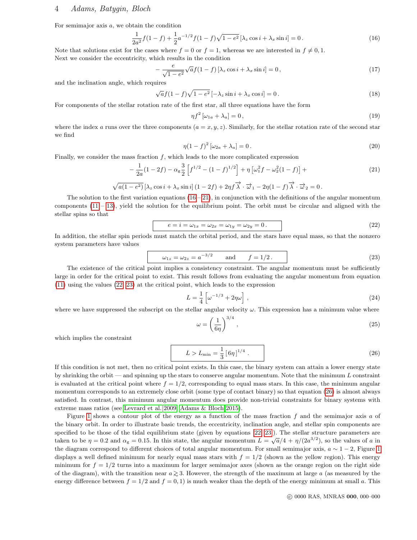For semimajor axis a, we obtain the condition

<span id="page-3-0"></span>
$$
\frac{1}{2a^2}f(1-f) + \frac{1}{2}a^{-1/2}f(1-f)\sqrt{1-e^2}\left[\lambda_z\cos i + \lambda_x\sin i\right] = 0.
$$
 (16)

Note that solutions exist for the cases where  $f = 0$  or  $f = 1$ , whereas we are interested in  $f \neq 0, 1$ . Next we consider the eccentricity, which results in the condition

$$
-\frac{e}{\sqrt{1-e^2}}\sqrt{a}f(1-f)\left[\lambda_z\cos i+\lambda_x\sin i\right]=0\,,\tag{17}
$$

and the inclination angle, which requires

$$
\sqrt{a}f(1-f)\sqrt{1-e^2}\left[-\lambda_z\sin i+\lambda_x\cos i\right]=0.
$$
\n(18)

For components of the stellar rotation rate of the first star, all three equations have the form

$$
\eta f^2 \left[ \omega_{1a} + \lambda_a \right] = 0, \tag{19}
$$

where the index a runs over the three components  $(a = x, y, z)$ . Similarly, for the stellar rotation rate of the second star we find

$$
\eta(1-f)^2\left[\omega_{2a}+\lambda_a\right]=0\,. \tag{20}
$$

Finally, we consider the mass fraction  $f$ , which leads to the more complicated expression

<span id="page-3-1"></span>
$$
-\frac{1}{2a}(1-2f) - \alpha_g \frac{3}{2} \left[ f^{1/2} - (1-f)^{1/2} \right] + \eta \left[ \omega_1^2 f - \omega_2^2 (1-f) \right] + \tag{21}
$$

$$
\sqrt{a(1-e^2)}\left[\lambda_z\cos i+\lambda_x\sin i\right](1-2f)+2\eta f\overrightarrow{\lambda}\cdot\overrightarrow{\omega}_1-2\eta(1-f)\overrightarrow{\lambda}\cdot\overrightarrow{\omega}_2=0.
$$

The solution to the first variation equations  $(16 - 21)$  $(16 - 21)$ , in conjunction with the definitions of the angular momentum components [\(11](#page-2-3) – [13\)](#page-2-4), yield the solution for the equilibrium point. The orbit must be circular and aligned with the stellar spins so that

<span id="page-3-2"></span>
$$
e = i = \omega_{1x} = \omega_{2x} = \omega_{1y} = \omega_{2y} = 0.
$$
\n
$$
(22)
$$

In addition, the stellar spin periods must match the orbital period, and the stars have equal mass, so that the nonzero system parameters have values

<span id="page-3-3"></span>
$$
\omega_{1z} = \omega_{2z} = a^{-3/2}
$$
 and  $f = 1/2$ . (23)

The existence of the critical point implies a consistency constraint. The angular momentum must be sufficiently large in order for the critical point to exist. This result follows from evaluating the angular momentum from equation [\(11\)](#page-2-3) using the values [\(22,](#page-3-2) [23\)](#page-3-3) at the critical point, which leads to the expression

$$
L = \frac{1}{4} \left[ \omega^{-1/3} + 2\eta \omega \right], \qquad (24)
$$

where we have suppressed the subscript on the stellar angular velocity  $\omega$ . This expression has a minimum value where

$$
\omega = \left(\frac{1}{6\eta}\right)^{3/4},\tag{25}
$$

which implies the constraint

<span id="page-3-4"></span>
$$
L > L_{\min} = \frac{1}{3} \left[ 6\eta \right]^{1/4} . \tag{26}
$$

If this condition is not met, then no critical point exists. In this case, the binary system can attain a lower energy state by shrinking the orbit — and spinning up the stars to conserve angular momentum. Note that the minimum  $L$  constraint is evaluated at the critical point where  $f = 1/2$ , corresponding to equal mass stars. In this case, the minimum angular momentum corresponds to an extremely close orbit (some type of contact binary) so that equation [\(26\)](#page-3-4) is almost always satisfied. In contrast, this minimum angular momentum does provide non-trivial constraints for binary systems with extreme mass ratios (see [Levrard et al. 2009;](#page-12-23) [Adams & Bloch 2015\)](#page-11-7).

Figure [1](#page-4-1) shows a contour plot of the energy as a function of the mass fraction  $f$  and the semimajor axis  $a$  of the binary orbit. In order to illustrate basic trends, the eccentricity, inclination angle, and stellar spin components are specified to be those of the tidal equilibrium state (given by equations [\[22,](#page-3-2) [23\]](#page-3-3)). The stellar structure parameters are taken to be  $\eta = 0.2$  and  $\alpha_{\rm g} = 0.15$ . In this state, the angular momentum  $L = \sqrt{a}/4 + \eta/(2a^{3/2})$ , so the values of a in the diagram correspond to different choices of total angular momentum. For small semimajor axis,  $a \sim 1 - 2$  $a \sim 1 - 2$  $a \sim 1 - 2$ , Figure 1 displays a well defined minimum for nearly equal mass stars with  $f = 1/2$  (shown as the yellow region). This energy minimum for  $f = 1/2$  turns into a maximum for larger semimajor axes (shown as the orange region on the right side of the diagram), with the transition near  $a \gtrsim 3$ . However, the strength of the maximum at large a (as measured by the energy difference between  $f = 1/2$  and  $f = 0, 1$  is much weaker than the depth of the energy minimum at small a. This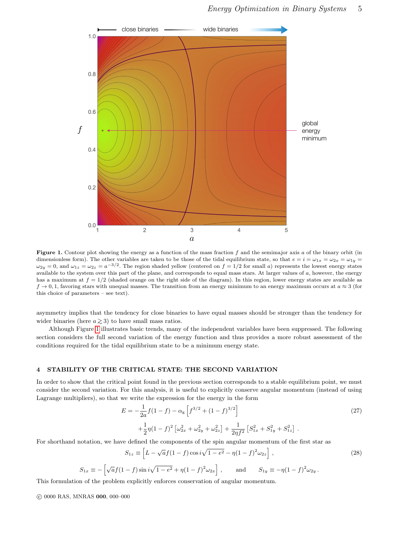

<span id="page-4-1"></span>Figure 1. Contour plot showing the energy as a function of the mass fraction f and the semimajor axis a of the binary orbit (in dimensionless form). The other variables are taken to be those of the tidal equilibrium state, so that  $e = i = \omega_{1x} = \omega_{2x} = \omega_{1y}$  $\omega_{2y} = 0$ , and  $\omega_{1z} = \omega_{2z} = a^{-3/2}$ . The region shaded yellow (centered on  $f = 1/2$  for small a) represents the lowest energy states available to the system over this part of the plane, and corresponds to equal mass stars. At larger values of  $a$ , however, the energy has a maximum at  $f = 1/2$  (shaded orange on the right side of the diagram). In this region, lower energy states are available as  $f \to 0, 1$ , favoring stars with unequal masses. The transition from an energy minimum to an energy maximum occurs at  $a \approx 3$  (for this choice of parameters – see text).

asymmetry implies that the tendency for close binaries to have equal masses should be stronger than the tendency for wider binaries (here  $a \ge 3$ ) to have small mass ratios.

Although Figure [1](#page-4-1) illustrates basic trends, many of the independent variables have been suppressed. The following section considers the full second variation of the energy function and thus provides a more robust assessment of the conditions required for the tidal equilibrium state to be a minimum energy state.

## <span id="page-4-0"></span>4 STABILITY OF THE CRITICAL STATE: THE SECOND VARIATION

In order to show that the critical point found in the previous section corresponds to a stable equilibrium point, we must consider the second variation. For this analysis, it is useful to explicitly conserve angular momentum (instead of using Lagrange multipliers), so that we write the expression for the energy in the form

$$
E = -\frac{1}{2a}f(1-f) - \alpha_{g}\left[f^{3/2} + (1-f)^{3/2}\right]
$$
  
 
$$
+\frac{1}{2}\eta(1-f)^{2}\left[\omega_{2x}^{2} + \omega_{2y}^{2} + \omega_{2z}^{2}\right] + \frac{1}{2\eta f^{2}}\left[S_{1x}^{2} + S_{1y}^{2} + S_{1z}^{2}\right].
$$
 (27)

For shorthand notation, we have defined the components of the spin angular momentum of the first star as

$$
S_{1z} \equiv \left[ L - \sqrt{a} f (1 - f) \cos i \sqrt{1 - e^2} - \eta (1 - f)^2 \omega_{2z} \right],
$$
 (28)

$$
S_{1x} \equiv -\left[\sqrt{a}f(1-f)\sin i\sqrt{1-e^2} + \eta(1-f)^2\omega_{2x}\right], \quad \text{and} \quad S_{1y} \equiv -\eta(1-f)^2\omega_{2y}.
$$

This formulation of the problem explicitly enforces conservation of angular momentum.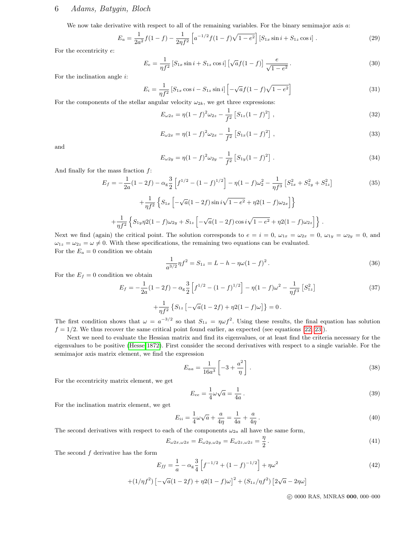# 6 Adams, Batygin, Bloch

We now take derivative with respect to all of the remaining variables. For the binary semimajor axis a:

$$
E_a = \frac{1}{2a^2} f(1-f) - \frac{1}{2\eta f^2} \left[ a^{-1/2} f(1-f) \sqrt{1-e^2} \right] \left[ S_{1x} \sin i + S_{1z} \cos i \right]. \tag{29}
$$

For the eccentricity e:

$$
E_e = \frac{1}{\eta f^2} \left[ S_{1x} \sin i + S_{1z} \cos i \right] \left[ \sqrt{a} f (1 - f) \right] \frac{e}{\sqrt{1 - e^2}}.
$$
 (30)

For the inclination angle i:

$$
E_i = \frac{1}{\eta f^2} \left[ S_{1x} \cos i - S_{1z} \sin i \right] \left[ -\sqrt{a} f (1 - f) \sqrt{1 - e^2} \right]
$$
 (31)

For the components of the stellar angular velocity  $\omega_{2k}$ , we get three expressions:

$$
E_{\omega 2z} = \eta (1 - f)^2 \omega_{2z} - \frac{1}{f^2} \left[ S_{1z} (1 - f)^2 \right], \qquad (32)
$$

$$
E_{\omega 2x} = \eta (1 - f)^2 \omega_{2x} - \frac{1}{f^2} \left[ S_{1x} (1 - f)^2 \right], \qquad (33)
$$

and

$$
E_{\omega 2y} = \eta (1 - f)^2 \omega_{2y} - \frac{1}{f^2} \left[ S_{1y} (1 - f)^2 \right]. \tag{34}
$$

And finally for the mass fraction  $f$ :

$$
E_f = -\frac{1}{2a}(1-2f) - \alpha_g \frac{3}{2} \left[ f^{1/2} - (1-f)^{1/2} \right] - \eta (1-f)\omega_2^2 - \frac{1}{\eta f^3} \left[ S_{1x}^2 + S_{1y}^2 + S_{1z}^2 \right] + \frac{1}{\eta f^2} \left\{ S_{1x} \left[ -\sqrt{a}(1-2f)\sin i\sqrt{1-e^2} + \eta 2(1-f)\omega_{2x} \right] \right\} + \frac{1}{\eta f^2} \left\{ S_{1y}\eta 2(1-f)\omega_{2y} + S_{1z} \left[ -\sqrt{a}(1-2f)\cos i\sqrt{1-e^2} + \eta 2(1-f)\omega_{2z} \right] \right\}.
$$
 (35)

Next we find (again) the critical point. The solution corresponds to  $e = i = 0$ ,  $\omega_{1x} = \omega_{2x} = 0$ ,  $\omega_{1y} = \omega_{2y} = 0$ , and  $\omega_{1z} = \omega_{2z} = \omega \neq 0$ . With these specifications, the remaining two equations can be evaluated. For the  $E_a = 0$  condition we obtain

$$
\frac{1}{a^{3/2}}\eta f^2 = S_{1z} = L - h - \eta\omega(1 - f)^2.
$$
\n(36)

For the  $E_f = 0$  condition we obtain

$$
E_f = -\frac{1}{2a}(1-2f) - \alpha_g \frac{3}{2} \left[ f^{1/2} - (1-f)^{1/2} \right] - \eta (1-f)\omega^2 - \frac{1}{\eta f^3} \left[ S_{1z}^2 \right]
$$
  
 
$$
+ \frac{1}{\eta f^2} \left\{ S_{1z} \left[ -\sqrt{a}(1-2f) + \eta 2(1-f)\omega \right] \right\} = 0.
$$
 (37)

The first condition shows that  $\omega = a^{-3/2}$  so that  $S_{1z} = \eta \omega f^2$ . Using these results, the final equation has solution  $f = 1/2$ . We thus recover the same critical point found earlier, as expected (see equations [\[22,](#page-3-2) [23\]](#page-3-3)).

Next we need to evaluate the Hessian matrix and find its eigenvalues, or at least find the criteria necessary for the eigenvalues to be positive [\(Hesse 1872\)](#page-12-25). First consider the second derivatives with respect to a single variable. For the semimajor axis matrix element, we find the expression

$$
E_{aa} = \frac{1}{16a^3} \left[ -3 + \frac{a^2}{\eta} \right].
$$
\n(38)

For the eccentricity matrix element, we get

$$
E_{ee} = \frac{1}{4}\omega\sqrt{a} = \frac{1}{4a}.
$$
\n
$$
(39)
$$

For the inclination matrix element, we get

$$
E_{ii} = \frac{1}{4}\omega\sqrt{a} + \frac{a}{4\eta} = \frac{1}{4a} + \frac{a}{4\eta}.
$$
 (40)

The second derivatives with respect to each of the components  $\omega_{2a}$  all have the same form,

$$
E_{\omega 2x, \omega 2x} = E_{\omega 2y, \omega 2y} = E_{\omega 2z, \omega 2z} = \frac{\eta}{2}.
$$
\n(41)

The second  $f$  derivative has the form

$$
E_{ff} = \frac{1}{a} - \alpha_g \frac{3}{4} \left[ f^{-1/2} + (1 - f)^{-1/2} \right] + \eta \omega^2 \tag{42}
$$

$$
+(1/\eta f^{2})\left[-\sqrt{a}(1-2f)+\eta 2(1-f)\omega\right]^{2}+(S_{1z}/\eta f^{2})\left[2\sqrt{a}-2\eta\omega\right]
$$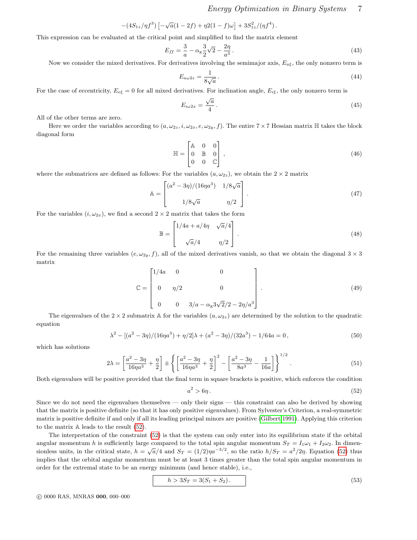Energy Optimization in Binary Systems 7

$$
-(4S_{1z}/\eta f^3)\left[-\sqrt{a}(1-2f)+\eta 2(1-f)\omega\right]+3S_{1z}^2/(\eta f^4).
$$

This expression can be evaluated at the critical point and simplified to find the matrix element

$$
E_{ff} = \frac{3}{a} - \alpha_g \frac{3}{2} \sqrt{2} - \frac{2\eta}{a^3} \,. \tag{43}
$$

Now we consider the mixed derivatives. For derivatives involving the semimajor axis,  $E_{\alpha\xi}$ , the only nonzero term is

$$
E_{a\omega 2z} = \frac{1}{8\sqrt{a}}\,. \tag{44}
$$

For the case of eccentricity,  $E_{e\xi} = 0$  for all mixed derivatives. For inclination angle,  $E_{i\xi}$ , the only nonzero term is

$$
E_{i\omega 2x} = \frac{\sqrt{a}}{4} \,. \tag{45}
$$

All of the other terms are zero.

Here we order the variables according to  $(a, \omega_{2z}, i, \omega_{2x}, e, \omega_{2y}, f)$ . The entire  $7 \times 7$  Hessian matrix  $\mathbb{H}$  takes the block diagonal form

$$
\mathbb{H} = \begin{bmatrix} \mathbb{A} & 0 & 0 \\ 0 & \mathbb{B} & 0 \\ 0 & 0 & \mathbb{C} \end{bmatrix},\tag{46}
$$

where the submatrices are defined as follows: For the variables  $(a, \omega_{2z})$ , we obtain the  $2 \times 2$  matrix

$$
\mathbb{A} = \begin{bmatrix} (a^2 - 3\eta)/(16\eta a^3) & 1/8\sqrt{a} \\ 1/8\sqrt{a} & \eta/2 \end{bmatrix} . \tag{47}
$$

For the variables  $(i, \omega_{2x})$ , we find a second  $2 \times 2$  matrix that takes the form

$$
\mathbb{B} = \begin{bmatrix} 1/4a + a/4\eta & \sqrt{a}/4 \\ \sqrt{a}/4 & \eta/2 \end{bmatrix} . \tag{48}
$$

For the remaining three variables  $(e, \omega_{2y}, f)$ , all of the mixed derivatives vanish, so that we obtain the diagonal  $3 \times 3$ matrix

$$
\mathbb{C} = \begin{bmatrix} 1/4a & 0 & 0 \\ 0 & \eta/2 & 0 \\ 0 & 0 & 3/a - \alpha_{\mathbb{S}} 3\sqrt{2}/2 - 2\eta/a^3 \end{bmatrix} .
$$
 (49)

The eigenvalues of the  $2 \times 2$  submatrix A for the variables  $(a, \omega_{2z})$  are determined by the solution to the quadratic equation

$$
\lambda^2 - \left[ (a^2 - 3\eta)/(16\eta a^3) + \eta/2 \right] \lambda + (a^2 - 3\eta)/(32a^3) - 1/64a = 0,
$$
\n(50)

which has solutions

$$
2\lambda = \left[\frac{a^2 - 3\eta}{16\eta a^3} + \frac{\eta}{2}\right] \pm \left\{ \left[\frac{a^2 - 3\eta}{16\eta a^3} + \frac{\eta}{2}\right]^2 - \left[\frac{a^2 - 3\eta}{8a^3} - \frac{1}{16a}\right] \right\}^{1/2}.
$$
 (51)

Both eigenvalues will be positive provided that the final term in square brackets is positive, which enforces the condition

<span id="page-6-0"></span>
$$
a^2 > 6\eta \tag{52}
$$

Since we do not need the eigenvalues themselves — only their signs — this constraint can also be derived by showing that the matrix is positive definite (so that it has only positive eigenvalues). From Sylvester's Criterion, a real-symmetric matrix is positive definite if and only if all its leading principal minors are positive [\(Gilbert 1991\)](#page-12-26). Applying this criterion to the matrix A leads to the result [\(52\)](#page-6-0).

The interpretation of the constraint [\(52\)](#page-6-0) is that the system can only enter into its equilibrium state if the orbital angular momentum h is sufficiently large compared to the total spin angular momentum  $S_T = I_1\omega_1 + I_2\omega_2$ . In dimensionless units, in the critical state,  $h = \sqrt{a}/4$  and  $S_T = (1/2)\eta a^{-3/2}$ , so the ratio  $h/S_T = a^2/2\eta$ . Equation [\(52\)](#page-6-0) thus implies that the orbital angular momentum must be at least 3 times greater than the total spin angular momentum in order for the extremal state to be an energy minimum (and hence stable), i.e.,

<span id="page-6-1"></span>
$$
h > 3S_T = 3(S_1 + S_2). \tag{53}
$$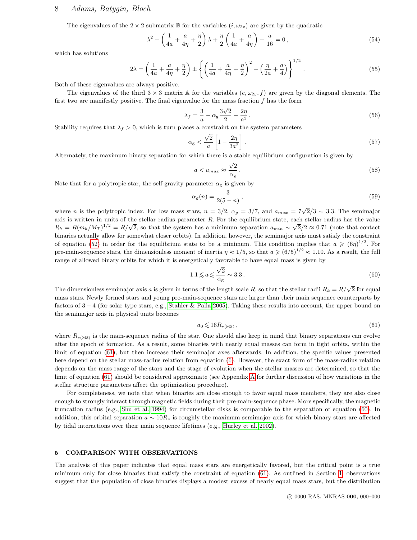# 8 Adams, Batygin, Bloch

The eigenvalues of the  $2 \times 2$  submatrix B for the variables  $(i, \omega_{2x})$  are given by the quadratic

$$
\lambda^{2} - \left(\frac{1}{4a} + \frac{a}{4\eta} + \frac{\eta}{2}\right)\lambda + \frac{\eta}{2}\left(\frac{1}{4a} + \frac{a}{4\eta}\right) - \frac{a}{16} = 0,
$$
\n(54)

which has solutions

$$
2\lambda = \left(\frac{1}{4a} + \frac{a}{4\eta} + \frac{\eta}{2}\right) \pm \left\{ \left(\frac{1}{4a} + \frac{a}{4\eta} + \frac{\eta}{2}\right)^2 - \left(\frac{\eta}{2a} + \frac{a}{4}\right) \right\}^{1/2}.
$$
 (55)

Both of these eigenvalues are always positive.

The eigenvalues of the third  $3 \times 3$  matrix A for the variables  $(e, \omega_{2y}, f)$  are given by the diagonal elements. The first two are manifestly positive. The final eigenvalue for the mass fraction f has the form

$$
\lambda_f = \frac{3}{a} - \alpha_g \frac{3\sqrt{2}}{2} - \frac{2\eta}{a^3} \,. \tag{56}
$$

Stability requires that  $\lambda_f > 0$ , which is turn places a constraint on the system parameters

$$
\alpha_{\rm g} < \frac{\sqrt{2}}{a} \left[ 1 - \frac{2\eta}{3a^2} \right] \,. \tag{57}
$$

Alternately, the maximum binary separation for which there is a stable equilibrium configuration is given by

<span id="page-7-3"></span>
$$
a < a_{max} \approx \frac{\sqrt{2}}{\alpha_{\text{g}}} \,. \tag{58}
$$

Note that for a polytropic star, the self-gravity parameter  $\alpha_{\rm g}$  is given by

$$
\alpha_g(n) = \frac{3}{2(5-n)},\tag{59}
$$

where *n* is the polytropic index. For low mass stars,  $n = 3/2$ ,  $\alpha_g = 3/7$ , and  $a_{max} = 7\sqrt{2}/3 \sim 3.3$ . The semimajor axis is written in units of the stellar radius parameter R. For the equilibrium state, each stellar radius has the value  $R_k = R(m_k/M_T)^{1/2} = R/\sqrt{2}$ , so that the system has a minimum separation  $a_{min} \sim \sqrt{2}/2 \approx 0.71$  (note that contact binaries actually allow for somewhat closer orbits). In addition, however, the semimajor axis must satisfy the constraint of equation [\(52\)](#page-6-0) in order for the equilibrium state to be a minimum. This condition implies that  $a \geqslant (6\eta)^{1/2}$ . For pre-main-sequence stars, the dimensionless moment of inertia  $\eta \approx 1/5$ , so that  $a \ge (6/5)^{1/2} \approx 1.10$ . As a result, the full range of allowed binary orbits for which it is energetically favorable to have equal mass is given by √

<span id="page-7-2"></span>
$$
1.1 \lesssim a \lesssim \frac{\sqrt{2}}{\alpha_{\rm g}} \sim 3.3\,. \tag{60}
$$

The dimensionless semimajor axis a is given in terms of the length scale R, so that the stellar radii  $R_k = R/\sqrt{2}$  for equal mass stars. Newly formed stars and young pre-main-sequence stars are larger than their main sequence counterparts by factors of 3 − 4 (for solar type stars, e.g., [Stahler & Palla 2005\)](#page-12-27). Taking these results into account, the upper bound on the semimajor axis in physical units becomes

<span id="page-7-1"></span>
$$
a_0 \lesssim 16 R_{*(\text{MS})},\tag{61}
$$

where  $R_{*(MS)}$  is the main-sequence radius of the star. One should also keep in mind that binary separations can evolve after the epoch of formation. As a result, some binaries with nearly equal masses can form in tight orbits, within the limit of equation [\(61\)](#page-7-1), but then increase their semimajor axes afterwards. In addition, the specific values presented here depend on the stellar mass-radius relation from equation [\(6\)](#page-2-5). However, the exact form of the mass-radius relation depends on the mass range of the stars and the stage of evolution when the stellar masses are determined, so that the limit of equation [\(61\)](#page-7-1) should be considered approximate (see Appendix [A](#page-10-0) for further discussion of how variations in the stellar structure parameters affect the optimization procedure).

For completeness, we note that when binaries are close enough to favor equal mass members, they are also close enough to strongly interact through magnetic fields during their pre-main-sequence phase. More specifically, the magnetic truncation radius (e.g., [Shu et al. 1994\)](#page-12-28) for circumstellar disks is comparable to the separation of equation [\(60\)](#page-7-2). In addition, this orbital separation  $a \sim 10R_*$  is roughly the maximum semimajor axis for which binary stars are affected by tidal interactions over their main sequence lifetimes (e.g., [Hurley et al. 2002\)](#page-12-29).

## <span id="page-7-0"></span>5 COMPARISON WITH OBSERVATIONS

The analysis of this paper indicates that equal mass stars are energetically favored, but the critical point is a true minimum only for close binaries that satisfy the constraint of equation [\(61\)](#page-7-1). As outlined in Section [1,](#page-0-0) observations suggest that the population of close binaries displays a modest excess of nearly equal mass stars, but the distribution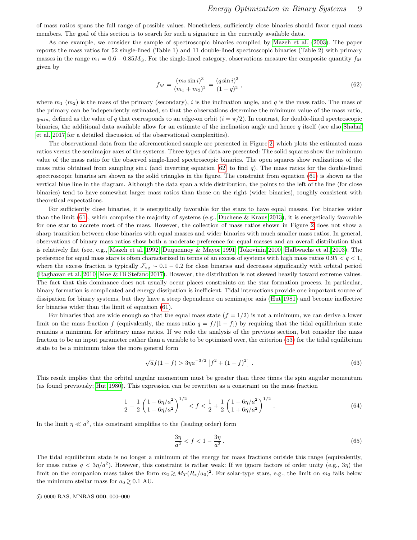of mass ratios spans the full range of possible values. Nonetheless, sufficiently close binaries should favor equal mass members. The goal of this section is to search for such a signature in the currently available data.

As one example, we consider the sample of spectroscopic binaries compiled by [Mazeh et al. \(2003\)](#page-12-30). The paper reports the mass ratios for 52 single-lined (Table 1) and 11 double-lined spectroscopic binaries (Table 2) with primary masses in the range  $m_1 = 0.6 - 0.85 M_{\odot}$ . For the single-lined category, observations measure the composite quantity  $f_M$ given by

<span id="page-8-0"></span>
$$
f_M = \frac{(m_2 \sin i)^3}{(m_1 + m_2)^2} = \frac{(q \sin i)^3}{(1 + q)^2},\tag{62}
$$

where  $m_1$  (m<sub>2</sub>) is the mass of the primary (secondary), i is the inclination angle, and q is the mass ratio. The mass of the primary can be independently estimated, so that the observations determine the minimum value of the mass ratio,  $q_{min}$ , defined as the value of q that corresponds to an edge-on orbit  $(i = \pi/2)$ . In contrast, for double-lined spectroscopic binaries, the additional data available allow for an estimate of the inclination angle and hence  $q$  itself (see also [Shahaf](#page-12-31) [et al. 2017](#page-12-31) for a detailed discussion of the observational complexities).

The observational data from the aforementioned sample are presented in Figure [2,](#page-9-1) which plots the estimated mass ratios versus the semimajor axes of the systems. Three types of data are presented: The solid squares show the minimum value of the mass ratio for the observed single-lined spectroscopic binaries. The open squares show realizations of the mass ratio obtained from sampling  $\sin i$  (and inverting equation [\[62\]](#page-8-0) to find q). The mass ratios for the double-lined spectroscopic binaries are shown as the solid triangles in the figure. The constraint from equation [\(61\)](#page-7-1) is shown as the vertical blue line in the diagram. Although the data span a wide distribution, the points to the left of the line (for close binaries) tend to have somewhat larger mass ratios than those on the right (wider binaries), roughly consistent with theoretical expectations.

For sufficiently close binaries, it is energetically favorable for the stars to have equal masses. For binaries wider than the limit [\(61\)](#page-7-1), which comprise the majority of systems (e.g., [Duchene & Kraus 2013\)](#page-11-2), it is energetically favorable for one star to accrete most of the mass. However, the collection of mass ratios shown in Figure [2](#page-9-1) does not show a sharp transition between close binaries with equal masses and wider binaries with much smaller mass ratios. In general, observations of binary mass ratios show both a moderate preference for equal masses and an overall distribution that is relatively flat (see, e.g., [Mazeh et al. 1992;](#page-12-13) [Duquennoy & Mayor 1991;](#page-12-14) [Tokovinin 2000;](#page-12-8) [Halbwachs et al. 2003\)](#page-12-9). The preference for equal mass stars is often characterized in terms of an excess of systems with high mass ratios  $0.95 < q < 1$ , where the excess fraction is typically  $\mathcal{F}_{eq} \sim 0.1 - 0.2$  for close binaries and decreases significantly with orbital period [\(Raghavan et al. 2010;](#page-12-16) [Moe & Di Stefano 2017\)](#page-12-15). However, the distribution is not skewed heavily toward extreme values. The fact that this dominance does not usually occur places constraints on the star formation process. In particular, binary formation is complicated and energy dissipation is inefficient. Tidal interactions provide one important source of dissipation for binary systems, but they have a steep dependence on semimajor axis [\(Hut 1981\)](#page-12-32) and become ineffective for binaries wider than the limit of equation [\(61\)](#page-7-1).

For binaries that are wide enough so that the equal mass state  $(f = 1/2)$  is not a minimum, we can derive a lower limit on the mass fraction f (equivalently, the mass ratio  $q = f/(1 - f)$ ) by requiring that the tidal equilibrium state remains a minimum for arbitrary mass ratios. If we redo the analysis of the previous section, but consider the mass fraction to be an input parameter rather than a variable to be optimized over, the criterion [\(53\)](#page-6-1) for the tidal equilibrium state to be a minimum takes the more general form

$$
\sqrt{a}f(1-f) > 3\eta a^{-3/2} \left[f^2 + (1-f)^2\right].
$$
\n(63)

This result implies that the orbital angular momentum must be greater than three times the spin angular momentum (as found previously; [Hut 1980\)](#page-12-4). This expression can be rewritten as a constraint on the mass fraction

$$
\frac{1}{2} - \frac{1}{2} \left( \frac{1 - 6\eta/a^2}{1 + 6\eta/a^2} \right)^{1/2} < f < \frac{1}{2} + \frac{1}{2} \left( \frac{1 - 6\eta/a^2}{1 + 6\eta/a^2} \right)^{1/2} . \tag{64}
$$

In the limit  $\eta \ll a^2$ , this constraint simplifies to the (leading order) form

$$
\frac{3\eta}{a^2} < f < 1 - \frac{3\eta}{a^2} \,. \tag{65}
$$

The tidal equilibrium state is no longer a minimum of the energy for mass fractions outside this range (equivalently, for mass ratios  $q < 3\eta/a^2$ ). However, this constraint is rather weak: If we ignore factors of order unity (e.g., 3 $\eta$ ) the limit on the companion mass takes the form  $m_2 \gtrsim M_T (R_*/a_0)^2$ . For solar-type stars, e.g., the limit on  $m_2$  falls below the minimum stellar mass for  $a_0 \geq 0.1$  AU.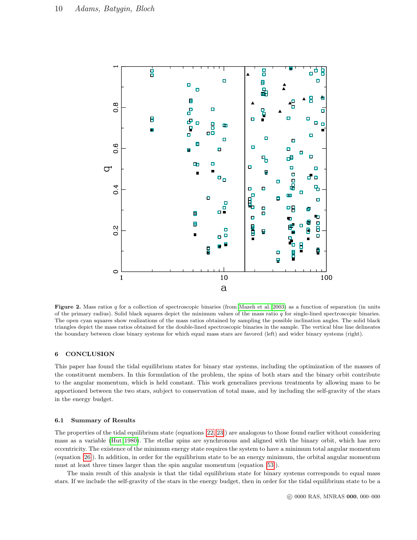

<span id="page-9-1"></span>Figure 2. Mass ratios  $q$  for a collection of spectroscopic binaries (from [Mazeh et al. 2003\)](#page-12-30) as a function of separation (in units of the primary radius). Solid black squares depict the minimum values of the mass ratio  $q$  for single-lined spectroscopic binaries. The open cyan squares show realizations of the mass ratios obtained by sampling the possible inclination angles. The solid black triangles depict the mass ratios obtained for the double-lined spectroscopic binaries in the sample. The vertical blue line delineates the boundary between close binary systems for which equal mass stars are favored (left) and wider binary systems (right).

## <span id="page-9-0"></span>6 CONCLUSION

This paper has found the tidal equilibrium states for binary star systems, including the optimization of the masses of the constituent members. In this formulation of the problem, the spins of both stars and the binary orbit contribute to the angular momentum, which is held constant. This work generalizes previous treatments by allowing mass to be apportioned between the two stars, subject to conservation of total mass, and by including the self-gravity of the stars in the energy budget.

## 6.1 Summary of Results

The properties of the tidal equilibrium state (equations [\[22,](#page-3-2) [23\]](#page-3-3)) are analogous to those found earlier without considering mass as a variable [\(Hut 1980\)](#page-12-4). The stellar spins are synchronous and aligned with the binary orbit, which has zero eccentricity. The existence of the minimum energy state requires the system to have a minimum total angular momentum (equation [\[26\]](#page-3-4)). In addition, in order for the equilibrium state to be an energy minimum, the orbital angular momentum must at least three times larger than the spin angular momentum (equation [\[53\]](#page-6-1)).

The main result of this analysis is that the tidal equilibrium state for binary systems corresponds to equal mass stars. If we include the self-gravity of the stars in the energy budget, then in order for the tidal equilibrium state to be a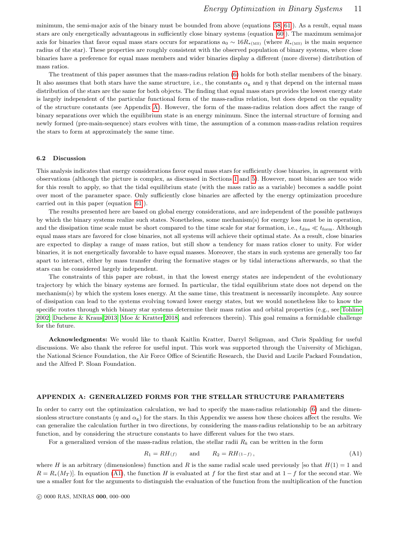minimum, the semi-major axis of the binary must be bounded from above (equations [\[58,](#page-7-3) [61\]](#page-7-1)). As a result, equal mass stars are only energetically advantageous in sufficiently close binary systems (equation [\[60\]](#page-7-2)). The maximum semimajor axis for binaries that favor equal mass stars occurs for separations  $a_0 \sim 16R_{*(MS)}$  (where  $R_{*(MS)}$  is the main sequence radius of the star). These properties are roughly consistent with the observed population of binary systems, where close binaries have a preference for equal mass members and wider binaries display a different (more diverse) distribution of mass ratios.

The treatment of this paper assumes that the mass-radius relation [\(6\)](#page-2-5) holds for both stellar members of the binary. It also assumes that both stars have the same structure, i.e., the constants  $\alpha_{g}$  and  $\eta$  that depend on the internal mass distribution of the stars are the same for both objects. The finding that equal mass stars provides the lowest energy state is largely independent of the particular functional form of the mass-radius relation, but does depend on the equality of the structure constants (see Appendix [A\)](#page-10-0). However, the form of the mass-radius relation does affect the range of binary separations over which the equilibrium state is an energy minimum. Since the internal structure of forming and newly formed (pre-main-sequence) stars evolves with time, the assumption of a common mass-radius relation requires the stars to form at approximately the same time.

#### 6.2 Discussion

This analysis indicates that energy considerations favor equal mass stars for sufficiently close binaries, in agreement with observations (although the picture is complex, as discussed in Sections [1](#page-0-0) and [5\)](#page-7-0). However, most binaries are too wide for this result to apply, so that the tidal equilibrium state (with the mass ratio as a variable) becomes a saddle point over most of the parameter space. Only sufficiently close binaries are affected by the energy optimization procedure carried out in this paper (equation [\[61\]](#page-7-1)).

The results presented here are based on global energy considerations, and are independent of the possible pathways by which the binary systems realize such states. Nonetheless, some mechanism(s) for energy loss must be in operation, and the dissipation time scale must be short compared to the time scale for star formation, i.e.,  $t_{\text{diss}} \ll t_{\text{form}}$ . Although equal mass stars are favored for close binaries, not all systems will achieve their optimal state. As a result, close binaries are expected to display a range of mass ratios, but still show a tendency for mass ratios closer to unity. For wider binaries, it is not energetically favorable to have equal masses. Moreover, the stars in such systems are generally too far apart to interact, either by mass transfer during the formative stages or by tidal interactions afterwards, so that the stars can be considered largely independent.

The constraints of this paper are robust, in that the lowest energy states are independent of the evolutionary trajectory by which the binary systems are formed. In particular, the tidal equilibrium state does not depend on the mechanism(s) by which the system loses energy. At the same time, this treatment is necessarily incomplete. Any source of dissipation can lead to the systems evolving toward lower energy states, but we would nonetheless like to know the specific routes through which binary star systems determine their mass ratios and orbital properties (e.g., see [Tohline](#page-12-33) [2002;](#page-12-33) [Duchene & Kraus 2013;](#page-11-2) [Moe & Kratter 2018,](#page-12-34) and references therein). This goal remains a formidable challenge for the future.

Acknowledgments: We would like to thank Kaitlin Kratter, Darryl Seligman, and Chris Spalding for useful discussions. We also thank the referee for useful input. This work was supported through the University of Michigan, the National Science Foundation, the Air Force Office of Scientific Research, the David and Lucile Packard Foundation, and the Alfred P. Sloan Foundation.

#### <span id="page-10-0"></span>APPENDIX A: GENERALIZED FORMS FOR THE STELLAR STRUCTURE PARAMETERS

In order to carry out the optimization calculation, we had to specify the mass-radius relationship [\(6\)](#page-2-5) and the dimensionless structure constants ( $\eta$  and  $\alpha$ <sub>g</sub>) for the stars. In this Appendix we assess how these choices affect the results. We can generalize the calculation further in two directions, by considering the mass-radius relationship to be an arbitrary function, and by considering the structure constants to have different values for the two stars.

For a generalized version of the mass-radius relation, the stellar radii  $R_k$  can be written in the form

<span id="page-10-1"></span>
$$
R_1 = RH(f) \qquad \text{and} \qquad R_2 = RH(1-f), \tag{A1}
$$

where H is an arbitrary (dimensionless) function and R is the same radial scale used previously [so that  $H(1) = 1$  and  $R = R_*(M_T)$ . In equation [\(A1\)](#page-10-1), the function H is evaluated at f for the first star and at  $1 - f$  for the second star. We use a smaller font for the arguments to distinguish the evaluation of the function from the multiplication of the function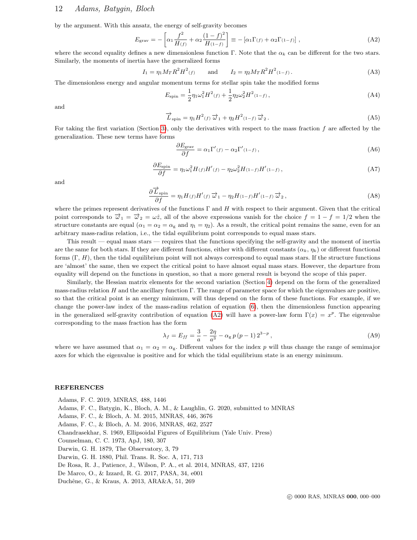by the argument. With this ansatz, the energy of self-gravity becomes

<span id="page-11-11"></span>
$$
E_{\text{grav}} = -\left[\alpha_1 \frac{f^2}{H(f)} + \alpha_2 \frac{(1-f)^2}{H(1-f)}\right] \equiv -\left[\alpha_1 \Gamma(f) + \alpha_2 \Gamma(1-f)\right],\tag{A2}
$$

where the second equality defines a new dimensionless function Γ. Note that the  $\alpha_k$  can be different for the two stars. Similarly, the moments of inertia have the generalized forms

$$
I_1 = \eta_1 M_T R^2 H^2(f) \qquad \text{and} \qquad I_2 = \eta_2 M_T R^2 H^2(f(f)) \,. \tag{A3}
$$

The dimensionless energy and angular momentum terms for stellar spin take the modified forms

$$
E_{\rm spin} = \frac{1}{2} \eta_1 \omega_1^2 H^2(t) + \frac{1}{2} \eta_2 \omega_2^2 H^2(t - t) , \qquad (A4)
$$

and

$$
\overrightarrow{L}_{\text{spin}} = \eta_1 H^2(t) \overrightarrow{\omega}_1 + \eta_2 H^2(t-t) \overrightarrow{\omega}_2.
$$
 (A5)

For taking the first variation (Section [3\)](#page-2-0), only the derivatives with respect to the mass fraction f are affected by the generalization. These new terms have forms

$$
\frac{\partial E_{\text{grav}}}{\partial f} = \alpha_1 \Gamma'(f) - \alpha_2 \Gamma'(1-f) \,, \tag{A6}
$$

$$
\frac{\partial E_{\text{spin}}}{\partial f} = \eta_1 \omega_1^2 H(f) H'(f) - \eta_2 \omega_2^2 H(1-f) H'(1-f) , \qquad (A7)
$$

and

$$
\frac{\partial \overrightarrow{L}_{spin}}{\partial f} = \eta_1 H(f) H'(f) \overrightarrow{\omega}_1 - \eta_2 H(1-f) H'(1-f) \overrightarrow{\omega}_2, \tag{A8}
$$

where the primes represent derivatives of the functions  $\Gamma$  and H with respect to their argument. Given that the critical point corresponds to  $\vec{\omega}_1 = \vec{\omega}_2 = \omega \hat{z}$ , all of the above expressions vanish for the choice  $f = 1 - f = 1/2$  when the structure constants are equal  $(\alpha_1 = \alpha_2 = \alpha_{\rm g}$  and  $\eta_1 = \eta_2)$ . As a result, the critical point remains the same, even for an arbitrary mass-radius relation, i.e., the tidal equilibrium point corresponds to equal mass stars.

This result — equal mass stars — requires that the functions specifying the self-gravity and the moment of inertia are the same for both stars. If they are different functions, either with different constants  $(\alpha_k, \eta_k)$  or different functional forms  $(\Gamma, H)$ , then the tidal equilibrium point will not always correspond to equal mass stars. If the structure functions are 'almost' the same, then we expect the critical point to have almost equal mass stars. However, the departure from equality will depend on the functions in question, so that a more general result is beyond the scope of this paper.

Similarly, the Hessian matrix elements for the second variation (Section [4\)](#page-4-0) depend on the form of the generalized mass-radius relation  $H$  and the ancillary function  $\Gamma$ . The range of parameter space for which the eigenvalues are positive, so that the critical point is an energy minimum, will thus depend on the form of these functions. For example, if we change the power-law index of the mass-radius relation of equation [\(6\)](#page-2-5), then the dimensionless function appearing in the generalized self-gravity contribution of equation [\(A2\)](#page-11-11) will have a power-law form  $\Gamma(x) = x^p$ . The eigenvalue corresponding to the mass fraction has the form

$$
\lambda_f = E_{ff} = \frac{3}{a} - \frac{2\eta}{a^3} - \alpha_g p (p - 1) 2^{3-p}, \qquad (A9)
$$

where we have assumed that  $\alpha_1 = \alpha_2 = \alpha_g$ . Different values for the index p will thus change the range of semimajor axes for which the eigenvalue is positive and for which the tidal equilibrium state is an energy minimum.

# REFERENCES

<span id="page-11-10"></span><span id="page-11-9"></span><span id="page-11-8"></span><span id="page-11-7"></span><span id="page-11-6"></span><span id="page-11-5"></span><span id="page-11-4"></span><span id="page-11-3"></span><span id="page-11-2"></span><span id="page-11-1"></span><span id="page-11-0"></span>Adams, F. C. 2019, MNRAS, 488, 1446 Adams, F. C., Batygin, K., Bloch, A. M., & Laughlin, G. 2020, submitted to MNRAS Adams, F. C., & Bloch, A. M. 2015, MNRAS, 446, 3676 Adams, F. C., & Bloch, A. M. 2016, MNRAS, 462, 2527 Chandrasekhar, S. 1969, Ellipsoidal Figures of Equilibrium (Yale Univ. Press) Counselman, C. C. 1973, ApJ, 180, 307 Darwin, G. H. 1879, The Observatory, 3, 79 Darwin, G. H. 1880, Phil. Trans. R. Soc. A, 171, 713 De Rosa, R. J., Patience, J., Wilson, P. A., et al. 2014, MNRAS, 437, 1216 De Marco, O., & Izzard, R. G. 2017, PASA, 34, e001 Duchêne, G., & Kraus, A. 2013, ARA&A, 51, 269